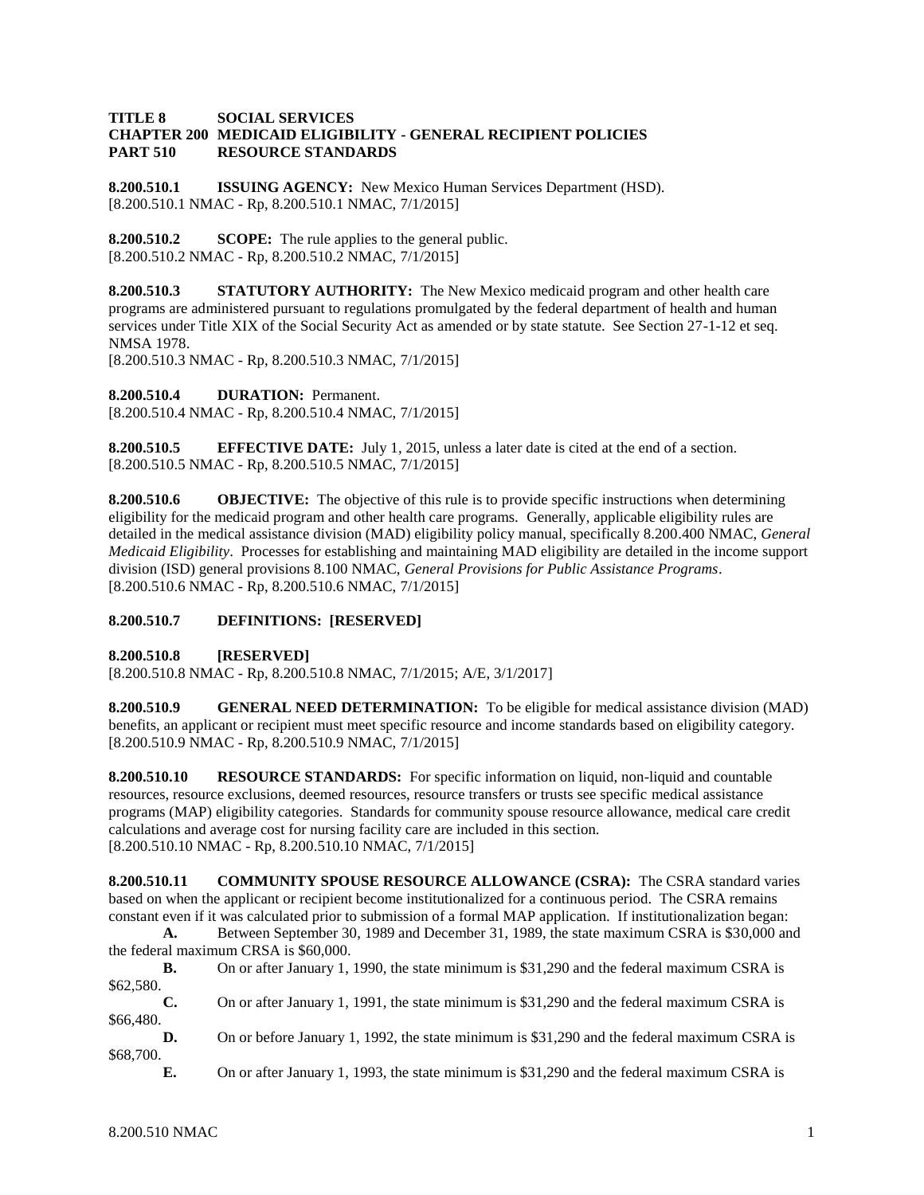## **TITLE 8 SOCIAL SERVICES CHAPTER 200 MEDICAID ELIGIBILITY - GENERAL RECIPIENT POLICIES PART 510 RESOURCE STANDARDS**

**8.200.510.1 ISSUING AGENCY:** New Mexico Human Services Department (HSD). [8.200.510.1 NMAC - Rp, 8.200.510.1 NMAC, 7/1/2015]

**8.200.510.2 SCOPE:** The rule applies to the general public. [8.200.510.2 NMAC - Rp, 8.200.510.2 NMAC, 7/1/2015]

**8.200.510.3 STATUTORY AUTHORITY:** The New Mexico medicaid program and other health care programs are administered pursuant to regulations promulgated by the federal department of health and human services under Title XIX of the Social Security Act as amended or by state statute. See Section 27-1-12 et seq. NMSA 1978.

[8.200.510.3 NMAC - Rp, 8.200.510.3 NMAC, 7/1/2015]

**8.200.510.4 DURATION:** Permanent.

[8.200.510.4 NMAC - Rp, 8.200.510.4 NMAC, 7/1/2015]

**8.200.510.5 EFFECTIVE DATE:** July 1, 2015, unless a later date is cited at the end of a section. [8.200.510.5 NMAC - Rp, 8.200.510.5 NMAC, 7/1/2015]

**8.200.510.6 OBJECTIVE:** The objective of this rule is to provide specific instructions when determining eligibility for the medicaid program and other health care programs. Generally, applicable eligibility rules are detailed in the medical assistance division (MAD) eligibility policy manual, specifically 8.200.400 NMAC, *General Medicaid Eligibility*. Processes for establishing and maintaining MAD eligibility are detailed in the income support division (ISD) general provisions 8.100 NMAC, *General Provisions for Public Assistance Programs*. [8.200.510.6 NMAC - Rp, 8.200.510.6 NMAC, 7/1/2015]

# **8.200.510.7 DEFINITIONS: [RESERVED]**

**8.200.510.8 [RESERVED]**

[8.200.510.8 NMAC - Rp, 8.200.510.8 NMAC, 7/1/2015; A/E, 3/1/2017]

**8.200.510.9 GENERAL NEED DETERMINATION:** To be eligible for medical assistance division (MAD) benefits, an applicant or recipient must meet specific resource and income standards based on eligibility category. [8.200.510.9 NMAC - Rp, 8.200.510.9 NMAC, 7/1/2015]

**8.200.510.10 RESOURCE STANDARDS:** For specific information on liquid, non-liquid and countable resources, resource exclusions, deemed resources, resource transfers or trusts see specific medical assistance programs (MAP) eligibility categories. Standards for community spouse resource allowance, medical care credit calculations and average cost for nursing facility care are included in this section. [8.200.510.10 NMAC - Rp, 8.200.510.10 NMAC, 7/1/2015]

**8.200.510.11 COMMUNITY SPOUSE RESOURCE ALLOWANCE (CSRA):** The CSRA standard varies based on when the applicant or recipient become institutionalized for a continuous period. The CSRA remains constant even if it was calculated prior to submission of a formal MAP application. If institutionalization began:

**A.** Between September 30, 1989 and December 31, 1989, the state maximum CSRA is \$30,000 and the federal maximum CRSA is \$60,000.

**B.** On or after January 1, 1990, the state minimum is \$31,290 and the federal maximum CSRA is \$62,580.

**C.** On or after January 1, 1991, the state minimum is \$31,290 and the federal maximum CSRA is \$66,480.

**D.** On or before January 1, 1992, the state minimum is \$31,290 and the federal maximum CSRA is \$68,700.

**E.** On or after January 1, 1993, the state minimum is \$31,290 and the federal maximum CSRA is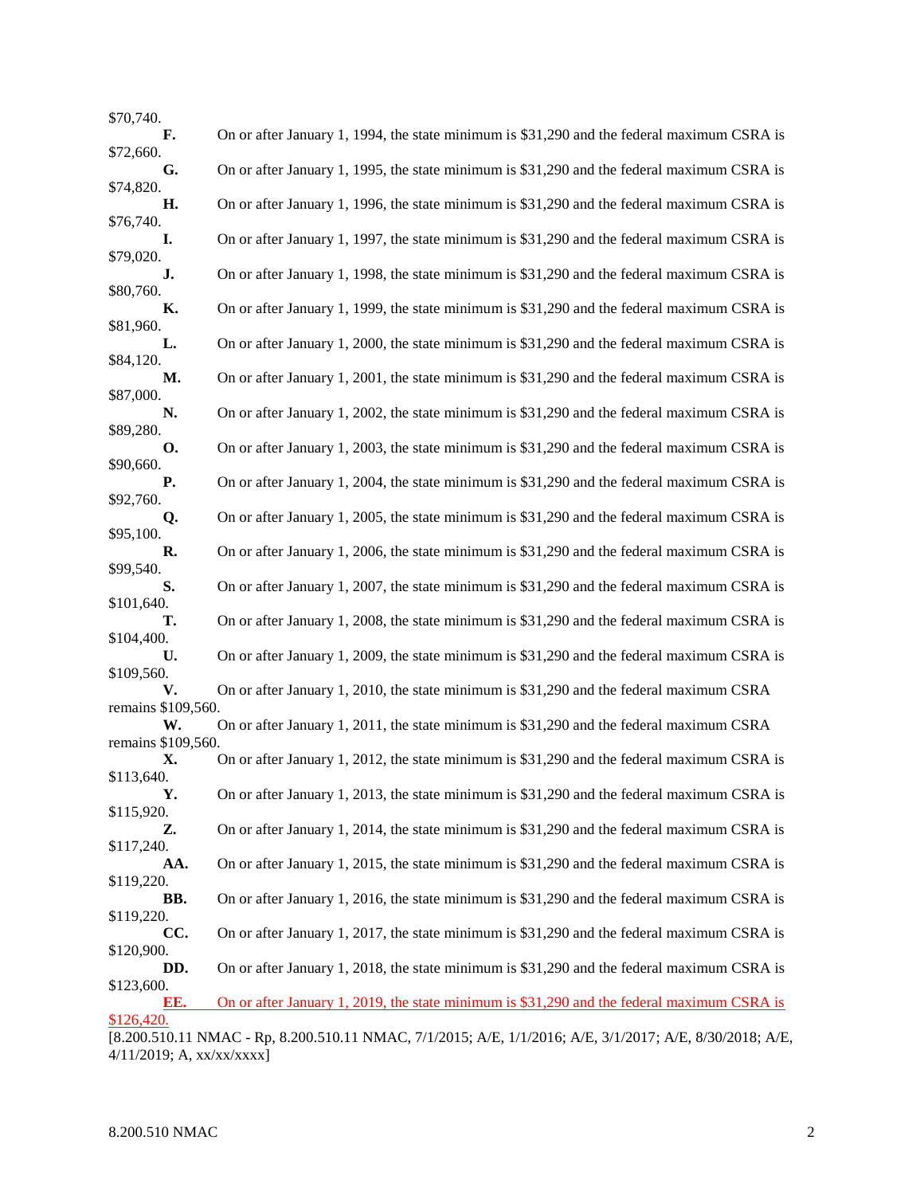| \$70,740.                |                                                                                                          |
|--------------------------|----------------------------------------------------------------------------------------------------------|
| F.                       | On or after January 1, 1994, the state minimum is \$31,290 and the federal maximum CSRA is               |
| \$72,660.<br>G.          | On or after January 1, 1995, the state minimum is \$31,290 and the federal maximum CSRA is               |
| \$74,820.<br>Η.          | On or after January 1, 1996, the state minimum is \$31,290 and the federal maximum CSRA is               |
| \$76,740.                |                                                                                                          |
| I.<br>\$79,020.          | On or after January 1, 1997, the state minimum is \$31,290 and the federal maximum CSRA is               |
| J.                       | On or after January 1, 1998, the state minimum is \$31,290 and the federal maximum CSRA is               |
| \$80,760.<br>К.          | On or after January 1, 1999, the state minimum is \$31,290 and the federal maximum CSRA is               |
| \$81,960.<br>L.          | On or after January 1, 2000, the state minimum is \$31,290 and the federal maximum CSRA is               |
| \$84,120.<br>М.          | On or after January 1, 2001, the state minimum is \$31,290 and the federal maximum CSRA is               |
| \$87,000.                |                                                                                                          |
| N.<br>\$89,280.          | On or after January 1, 2002, the state minimum is \$31,290 and the federal maximum CSRA is               |
| <b>O.</b><br>\$90,660.   | On or after January 1, 2003, the state minimum is \$31,290 and the federal maximum CSRA is               |
| <b>P.</b>                | On or after January 1, 2004, the state minimum is \$31,290 and the federal maximum CSRA is               |
| \$92,760.<br>Q.          | On or after January 1, 2005, the state minimum is \$31,290 and the federal maximum CSRA is               |
| \$95,100.                |                                                                                                          |
| R.<br>\$99,540.          | On or after January 1, 2006, the state minimum is \$31,290 and the federal maximum CSRA is               |
| S.<br>\$101,640.         | On or after January 1, 2007, the state minimum is \$31,290 and the federal maximum CSRA is               |
| т.                       | On or after January 1, 2008, the state minimum is \$31,290 and the federal maximum CSRA is               |
| \$104,400.<br>U.         | On or after January 1, 2009, the state minimum is \$31,290 and the federal maximum CSRA is               |
| \$109,560.<br>V.         | On or after January 1, 2010, the state minimum is \$31,290 and the federal maximum CSRA                  |
| remains \$109,560.       |                                                                                                          |
| W.<br>remains \$109,560. | On or after January 1, 2011, the state minimum is \$31,290 and the federal maximum CSRA                  |
| Х.<br>\$113.640.         | On or after January 1, 2012, the state minimum is \$31,290 and the federal maximum CSRA is               |
| Υ.                       | On or after January 1, 2013, the state minimum is \$31,290 and the federal maximum CSRA is               |
| \$115,920.<br>Z.         | On or after January 1, 2014, the state minimum is \$31,290 and the federal maximum CSRA is               |
| \$117,240.               |                                                                                                          |
| AA.<br>\$119,220.        | On or after January 1, 2015, the state minimum is \$31,290 and the federal maximum CSRA is               |
| BB.<br>\$119,220.        | On or after January 1, 2016, the state minimum is \$31,290 and the federal maximum CSRA is               |
| CC.                      | On or after January 1, 2017, the state minimum is \$31,290 and the federal maximum CSRA is               |
| \$120,900.<br>DD.        | On or after January 1, 2018, the state minimum is \$31,290 and the federal maximum CSRA is               |
| \$123,600.<br>EE.        | On or after January 1, 2019, the state minimum is \$31,290 and the federal maximum CSRA is               |
| \$126,420.               |                                                                                                          |
|                          | [8.200.510.11 NMAC - Rp, 8.200.510.11 NMAC, 7/1/2015; A/E, 1/1/2016; A/E, 3/1/2017; A/E, 8/30/2018; A/E, |

 $4/11/2019$ ; A, xx/xx/xxxx]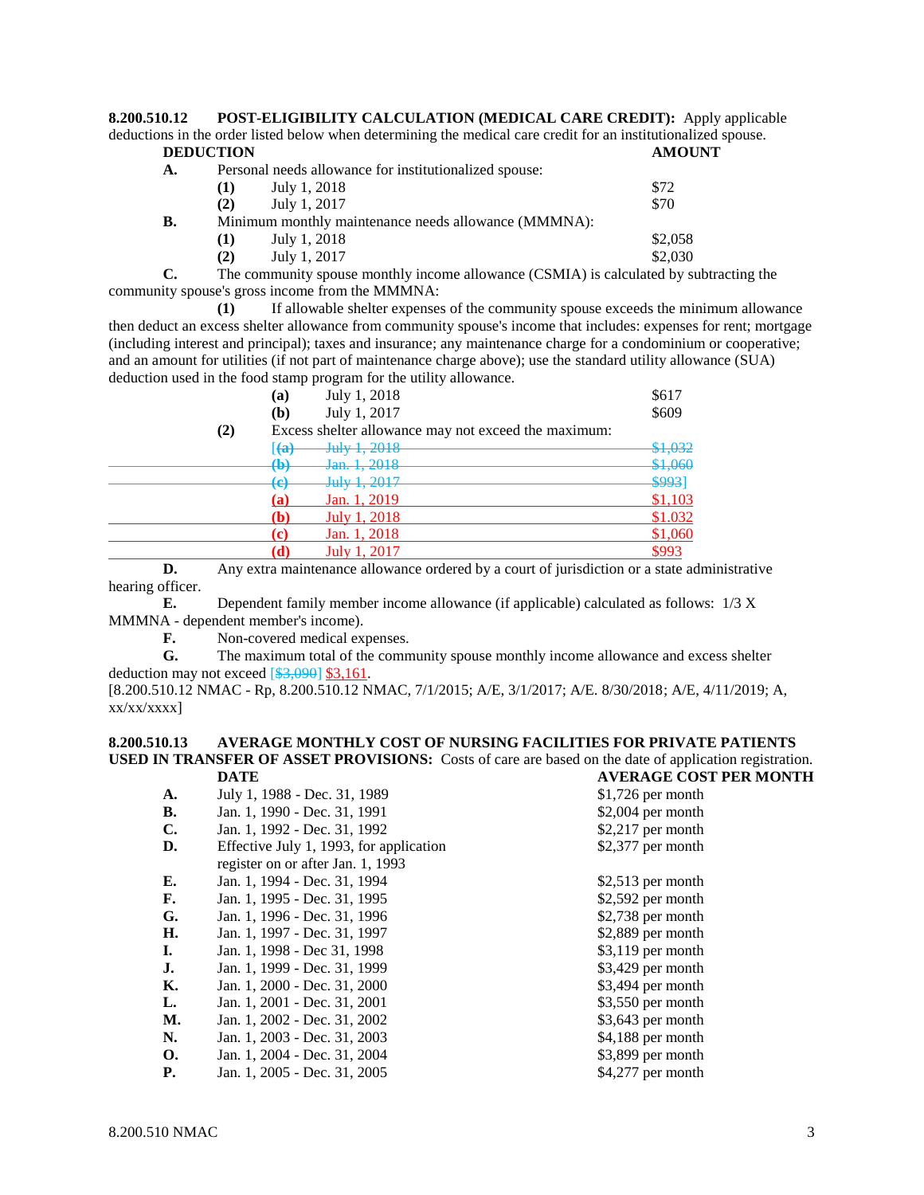**8.200.510.12 POST-ELIGIBILITY CALCULATION (MEDICAL CARE CREDIT):** Apply applicable deductions in the order listed below when determining the medical care credit for an institutionalized spouse.<br> **DEDUCTION DEDUCTION** 

|    | ----------- |                                                        |         |
|----|-------------|--------------------------------------------------------|---------|
| А. |             | Personal needs allowance for institutionalized spouse: |         |
|    | (T)         | July 1, 2018                                           | \$72    |
|    | (2)         | July 1, 2017                                           | \$70    |
| В. |             | Minimum monthly maintenance needs allowance (MMMNA):   |         |
|    | (T)         | July 1, 2018                                           | \$2,058 |
|    | (2)         | July 1, 2017                                           | \$2,030 |
|    |             |                                                        |         |

**C.** The community spouse monthly income allowance (CSMIA) is calculated by subtracting the community spouse's gross income from the MMMNA:

**(1)** If allowable shelter expenses of the community spouse exceeds the minimum allowance then deduct an excess shelter allowance from community spouse's income that includes: expenses for rent; mortgage (including interest and principal); taxes and insurance; any maintenance charge for a condominium or cooperative; and an amount for utilities (if not part of maintenance charge above); use the standard utility allowance (SUA) deduction used in the food stamp program for the utility allowance.

|          | (a)                     | July 1, 2018                                         | \$617   |
|----------|-------------------------|------------------------------------------------------|---------|
|          | (b)                     | July 1, 2017                                         | \$609   |
| $\rm(2)$ |                         | Excess shelter allowance may not exceed the maximum: |         |
|          | $\left( \bf{a} \right)$ | July 1, 2018                                         | \$1,032 |
|          | $\bigoplus$             | Jan. 1, 2018                                         | \$1,060 |
|          | (አ)<br>ভ                | July 1, 2017                                         | \$993]  |
|          | (a)                     | Jan. 1, 2019                                         | \$1,103 |
|          | (b)                     | July 1, 2018                                         | \$1.032 |
|          | $\mathbf{c}$            | Jan. 1, 2018                                         | \$1,060 |
|          |                         | July 1, 2017                                         | \$993   |

**D.** Any extra maintenance allowance ordered by a court of jurisdiction or a state administrative hearing officer.

**E.** Dependent family member income allowance (if applicable) calculated as follows: 1/3 X MMMNA - dependent member's income).

**F.** Non-covered medical expenses.

**G.** The maximum total of the community spouse monthly income allowance and excess shelter deduction may not exceed  $[$3,090]$  \$3,161.

[8.200.510.12 NMAC - Rp, 8.200.510.12 NMAC, 7/1/2015; A/E, 3/1/2017; A/E. 8/30/2018; A/E, 4/11/2019; A, xx/xx/xxxx]

#### **8.200.510.13 AVERAGE MONTHLY COST OF NURSING FACILITIES FOR PRIVATE PATIENTS USED IN TRANSFER OF ASSET PROVISIONS:** Costs of care are based on the date of application registration.<br>
DATE DATE **DATE AVERAGE COST PER MONTH**

|                | <i>DE LE</i>                            | A VENAGE COST I EN MON |
|----------------|-----------------------------------------|------------------------|
| A.             | July 1, 1988 - Dec. 31, 1989            | $$1,726$ per month     |
| В.             | Jan. 1, 1990 - Dec. 31, 1991            | $$2,004$ per month     |
| $\mathbf{C}$ . | Jan. 1, 1992 - Dec. 31, 1992            | $$2,217$ per month     |
| D.             | Effective July 1, 1993, for application | \$2,377 per month      |
|                | register on or after Jan. 1, 1993       |                        |
| Е.             | Jan. 1, 1994 - Dec. 31, 1994            | $$2,513$ per month     |
| F.             | Jan. 1, 1995 - Dec. 31, 1995            | $$2,592$ per month     |
| G.             | Jan. 1, 1996 - Dec. 31, 1996            | $$2,738$ per month     |
| H.             | Jan. 1, 1997 - Dec. 31, 1997            | $$2,889$ per month     |
| I.             | Jan. 1, 1998 - Dec 31, 1998             | $$3,119$ per month     |
| J.             | Jan. 1, 1999 - Dec. 31, 1999            | $$3,429$ per month     |
| К.             | Jan. 1, 2000 - Dec. 31, 2000            | $$3,494$ per month     |
| L.             | Jan. 1, 2001 - Dec. 31, 2001            | $$3,550$ per month     |
| М.             | Jan. 1, 2002 - Dec. 31, 2002            | $$3,643$ per month     |
| N.             | Jan. 1, 2003 - Dec. 31, 2003            | \$4,188 per month      |
| <b>O.</b>      | Jan. 1, 2004 - Dec. 31, 2004            | \$3,899 per month      |
| <b>P.</b>      | Jan. 1, 2005 - Dec. 31, 2005            | $$4,277$ per month     |